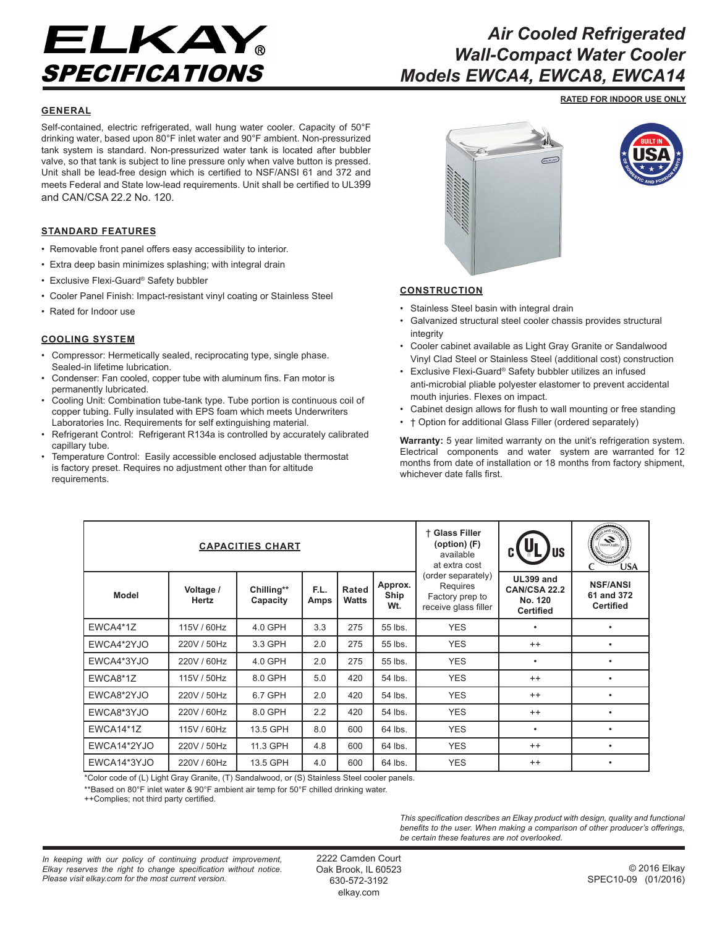

# *Air Cooled Refrigerated Wall-Compact Water Cooler Models EWCA4, EWCA8, EWCA14*

**RATED FOR INDOOR USE ONLY**

#### **GENERAL**

Self-contained, electric refrigerated, wall hung water cooler. Capacity of 50°F drinking water, based upon 80°F inlet water and 90°F ambient. Non-pressurized tank system is standard. Non-pressurized water tank is located after bubbler valve, so that tank is subject to line pressure only when valve button is pressed. Unit shall be lead-free design which is certified to NSF/ANSI 61 and 372 and meets Federal and State low-lead requirements. Unit shall be certified to UL399 and CAN/CSA 22.2 No. 120.

## **STANDARD FEATURES**

- Removable front panel offers easy accessibility to interior.
- Extra deep basin minimizes splashing; with integral drain
- Exclusive Flexi-Guard® Safety bubbler
- Cooler Panel Finish: Impact-resistant vinyl coating or Stainless Steel
- Rated for Indoor use

#### **COOLING SYSTEM**

- Compressor: Hermetically sealed, reciprocating type, single phase. Sealed-in lifetime lubrication.
- Condenser: Fan cooled, copper tube with aluminum fins. Fan motor is permanently lubricated.
- Cooling Unit: Combination tube-tank type. Tube portion is continuous coil of copper tubing. Fully insulated with EPS foam which meets Underwriters Laboratories Inc. Requirements for self extinguishing material.
- Refrigerant Control: Refrigerant R134a is controlled by accurately calibrated capillary tube.
- Temperature Control: Easily accessible enclosed adjustable thermostat is factory preset. Requires no adjustment other than for altitude requirements.





## **CONSTRUCTION**

- Stainless Steel basin with integral drain
- Galvanized structural steel cooler chassis provides structural integrity
- Cooler cabinet available as Light Gray Granite or Sandalwood Vinyl Clad Steel or Stainless Steel (additional cost) construction
- Exclusive Flexi-Guard® Safety bubbler utilizes an infused anti-microbial pliable polyester elastomer to prevent accidental mouth injuries. Flexes on impact.
- Cabinet design allows for flush to wall mounting or free standing
- † Option for additional Glass Filler (ordered separately)

**Warranty:** 5 year limited warranty on the unit's refrigeration system. Electrical components and water system are warranted for 12 months from date of installation or 18 months from factory shipment, whichever date falls first.

| <b>CAPACITIES CHART</b>                                                                                                                   |                           |                        |              |                |                        | † Glass Filler<br>(option) (F)<br>available<br>at extra cost              | US.                                                             | $\sum_{\text{Water Quality}}$<br><b>ÚSA</b>       |
|-------------------------------------------------------------------------------------------------------------------------------------------|---------------------------|------------------------|--------------|----------------|------------------------|---------------------------------------------------------------------------|-----------------------------------------------------------------|---------------------------------------------------|
| <b>Model</b>                                                                                                                              | Voltage /<br><b>Hertz</b> | Chilling**<br>Capacity | F.L.<br>Amps | Rated<br>Watts | Approx.<br>Ship<br>Wt. | (order separately)<br>Requires<br>Factory prep to<br>receive glass filler | <b>UL399 and</b><br>CAN/CSA 22.2<br>No. 120<br><b>Certified</b> | <b>NSF/ANSI</b><br>61 and 372<br><b>Certified</b> |
| EWCA4*1Z                                                                                                                                  | 115V / 60Hz               | 4.0 GPH                | 3.3          | 275            | 55 lbs.                | <b>YES</b>                                                                | ٠                                                               |                                                   |
| EWCA4*2YJO                                                                                                                                | 220V / 50Hz               | 3.3 GPH                | 2.0          | 275            | 55 lbs.                | <b>YES</b>                                                                | $^{++}$                                                         |                                                   |
| EWCA4*3YJO                                                                                                                                | 220V / 60Hz               | 4.0 GPH                | 2.0          | 275            | 55 lbs.                | <b>YES</b>                                                                | ٠                                                               |                                                   |
| EWCA8*1Z                                                                                                                                  | 115V / 50Hz               | 8.0 GPH                | 5.0          | 420            | 54 lbs.                | <b>YES</b>                                                                | $^{++}$                                                         |                                                   |
| EWCA8*2YJO                                                                                                                                | 220V / 50Hz               | 6.7 GPH                | 2.0          | 420            | 54 lbs.                | <b>YES</b>                                                                | $^{++}$                                                         |                                                   |
| EWCA8*3YJO                                                                                                                                | 220V / 60Hz               | 8.0 GPH                | 2.2          | 420            | 54 lbs.                | <b>YES</b>                                                                | $^{++}$                                                         |                                                   |
| <b>EWCA14*1Z</b>                                                                                                                          | 115V / 60Hz               | 13.5 GPH               | 8.0          | 600            | 64 lbs.                | <b>YES</b>                                                                | ٠                                                               |                                                   |
| EWCA14*2YJO                                                                                                                               | 220V / 50Hz               | 11.3 GPH               | 4.8          | 600            | 64 lbs.                | <b>YES</b>                                                                | $^{++}$                                                         | ٠                                                 |
| EWCA14*3YJO<br>$*$ $\alpha$ , i.e. i.e. $\alpha$ and the $\alpha$ $\alpha$ $\alpha$ $\alpha$ $\alpha$ $\alpha$ $\alpha$ $\alpha$ $\alpha$ | 220V / 60Hz               | 13.5 GPH               | 4.0          | 600            | 64 lbs.                | <b>YES</b>                                                                | $^{++}$                                                         |                                                   |

\*Color code of (L) Light Gray Granite, (T) Sandalwood, or (S) Stainless Steel cooler panels.

\*\*Based on 80°F inlet water & 90°F ambient air temp for 50°F chilled drinking water.

++Complies; not third party certified.

*This specification describes an Elkay product with design, quality and functional benefits to the user. When making a comparison of other producer's offerings, be certain these features are not overlooked.*

2222 Camden Court Oak Brook, IL 60523 630-572-3192 elkay.com